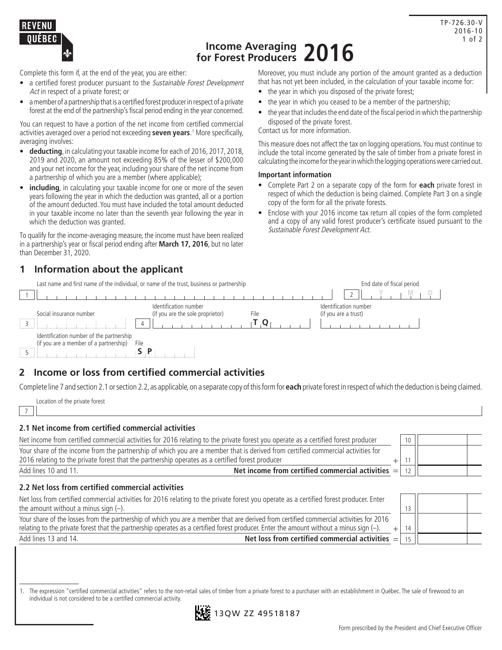

# **Income Averaging for Forest Producers 2016**

Complete this form if, at the end of the year, you are either:

- a certified forest producer pursuant to the Sustainable Forest Development Act in respect of a private forest; or
- a member of a partnership that is a certified forest producer in respect of a private forest at the end of the partnership's fiscal period ending in the year concerned.

You can request to have a portion of the net income from certified commercial activities averaged over a period not exceeding **seven years**. 1 More specifically, averaging involves:

- **deducting**, in calculating your taxable income for each of 2016, 2017, 2018, 2019 and 2020, an amount not exceeding 85% of the lesser of \$200,000 and your net income for the year, including your share of the net income from a partnership of which you are a member (where applicable);
- **including**, in calculating your taxable income for one or more of the seven years following the year in which the deduction was granted, all or a portion of the amount deducted. You must have included the total amount deducted in your taxable income no later than the seventh year following the year in which the deduction was granted.

To qualify for the income-averaging measure, the income must have been realized in a partnership's year or fiscal period ending after **March 17, 2016**, but no later than December 31, 2020.

## **1 Information about the applicant**

Last name and first name of the individual, or name of the trust, business or partnership End date of fiscal period

Moreover, you must include any portion of the amount granted as a deduction that has not yet been included, in the calculation of your taxable income for:

- the year in which you disposed of the private forest;
- the year in which you ceased to be a member of the partnership;
- the year that includes the end date of the fiscal period in which the partnership disposed of the private forest.

Contact us for more information.

This measure does not affect the tax on logging operations. You must continue to include the total income generated by the sale of timber from a private forest in calculating the income for the year in which the logging operations were carried out.

#### **Important information**

- Complete Part 2 on a separate copy of the form for **each** private forest in respect of which the deduction is being claimed. Complete Part 3 on a single copy of the form for all the private forests.
- Enclose with your 2016 income tax return all copies of the form completed and a copy of any valid forest producer's certificate issued pursuant to the Sustainable Forest Development Act.

| Last hame and first hame of the individual, or hame of the trust, business or partnership  |                                                                   | End date of fiscal period                     |
|--------------------------------------------------------------------------------------------|-------------------------------------------------------------------|-----------------------------------------------|
|                                                                                            |                                                                   |                                               |
| Social insurance number                                                                    | Identification number<br>(if you are the sole proprietor)<br>File | Identification number<br>(if you are a trust) |
| -11<br>4                                                                                   |                                                                   |                                               |
| Identification number of the partnership<br>(if you are a member of a partnership)<br>File |                                                                   |                                               |
| -11                                                                                        |                                                                   |                                               |

## **2 Income or loss from certified commercial activities**

Complete line 7 and section 2.1 or section 2.2, as applicable, on a separate copy of this form for **each** private forest in respect of which the deduction is being claimed.

Location of the private forest

7

#### **2.1 Net income from certified commercial activities**

| Net income from certified commercial activities for 2016 relating to the private forest you operate as a certified forest producer                                                                                                   | 10 |  |
|--------------------------------------------------------------------------------------------------------------------------------------------------------------------------------------------------------------------------------------|----|--|
| Your share of the income from the partnership of which you are a member that is derived from certified commercial activities for<br>2016 relating to the private forest that the partnership operates as a certified forest producer |    |  |
| Net income from certified commercial activities $=$<br>Add lines 10 and 11.                                                                                                                                                          |    |  |

### **2.2 Net loss from certified commercial activities**

| Net loss from certified commercial activities for 2016 relating to the private forest you operate as a certified forest producer. Enter    |                 |  |
|--------------------------------------------------------------------------------------------------------------------------------------------|-----------------|--|
| the amount without a minus sign $(-)$ .                                                                                                    |                 |  |
| Your share of the losses from the partnership of which you are a member that are derived from certified commercial activities for 2016     |                 |  |
| relating to the private forest that the partnership operates as a certified forest producer. Enter the amount without a minus sign $(-)$ . | 14 <sub>1</sub> |  |
| Net loss from certified commercial activities $=$<br>Add lines 13 and 14.                                                                  |                 |  |

1. The expression "certified commercial activities" refers to the non-retail sales of timber from a private forest to a purchaser with an establishment in Québec. The sale of firewood to an individual is not considered to be a certified commercial activity.